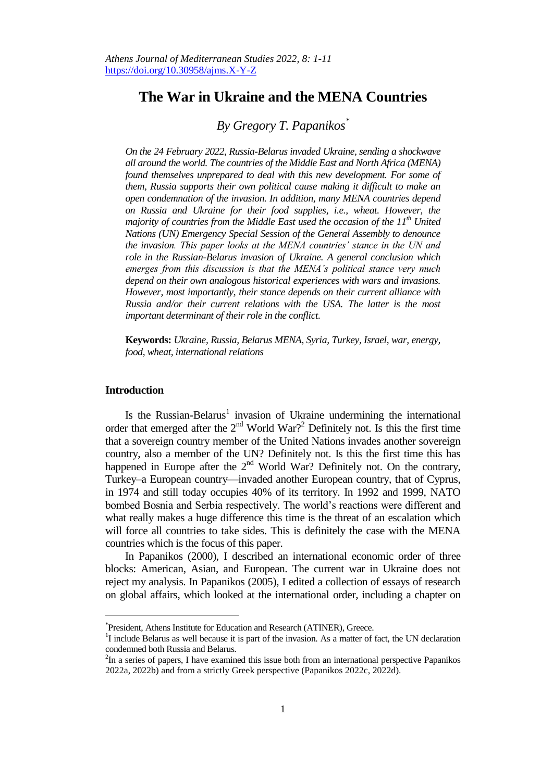# **The War in Ukraine and the MENA Countries**

## *By Gregory T. Papanikos\**

*On the 24 February 2022, Russia-Belarus invaded Ukraine, sending a shockwave all around the world. The countries of the Middle East and North Africa (MENA) found themselves unprepared to deal with this new development. For some of them, Russia supports their own political cause making it difficult to make an open condemnation of the invasion. In addition, many MENA countries depend on Russia and Ukraine for their food supplies, i.e., wheat. However, the majority of countries from the Middle East used the occasion of the 11th United Nations (UN) Emergency Special Session of the General Assembly to denounce the invasion. This paper looks at the MENA countries' stance in the UN and role in the Russian-Belarus invasion of Ukraine. A general conclusion which emerges from this discussion is that the MENA's political stance very much depend on their own analogous historical experiences with wars and invasions. However, most importantly, their stance depends on their current alliance with Russia and/or their current relations with the USA. The latter is the most important determinant of their role in the conflict.* 

**Keywords:** *Ukraine, Russia, Belarus MENA, Syria, Turkey, Israel, war, energy, food, wheat, international relations*

### **Introduction**

j

Is the Russian-Belarus<sup>1</sup> invasion of Ukraine undermining the international order that emerged after the  $2<sup>nd</sup>$  World War?<sup>2</sup> Definitely not. Is this the first time that a sovereign country member of the United Nations invades another sovereign country, also a member of the UN? Definitely not. Is this the first time this has happened in Europe after the  $2<sup>nd</sup>$  World War? Definitely not. On the contrary, Turkey–a European country—invaded another European country, that of Cyprus, in 1974 and still today occupies 40% of its territory. In 1992 and 1999, NATO bombed Bosnia and Serbia respectively. The world's reactions were different and what really makes a huge difference this time is the threat of an escalation which will force all countries to take sides. This is definitely the case with the MENA countries which is the focus of this paper.

In Papanikos (2000), I described an international economic order of three blocks: American, Asian, and European. The current war in Ukraine does not reject my analysis. In Papanikos (2005), I edited a collection of essays of research on global affairs, which looked at the international order, including a chapter on

<sup>\*</sup> President, Athens Institute for Education and Research (ATINER), Greece.

<sup>&</sup>lt;sup>1</sup>I include Belarus as well because it is part of the invasion. As a matter of fact, the UN declaration condemned both Russia and Belarus.

 $2$ In a series of papers, I have examined this issue both from an international perspective Papanikos 2022a, 2022b) and from a strictly Greek perspective (Papanikos 2022c, 2022d).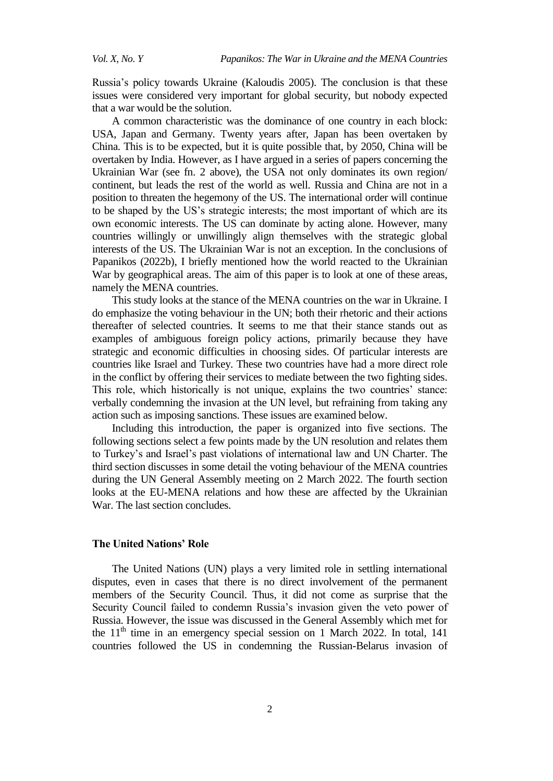Russia's policy towards Ukraine (Kaloudis 2005). The conclusion is that these issues were considered very important for global security, but nobody expected that a war would be the solution.

A common characteristic was the dominance of one country in each block: USA, Japan and Germany. Twenty years after, Japan has been overtaken by China. This is to be expected, but it is quite possible that, by 2050, China will be overtaken by India. However, as I have argued in a series of papers concerning the Ukrainian War (see fn. 2 above), the USA not only dominates its own region/ continent, but leads the rest of the world as well. Russia and China are not in a position to threaten the hegemony of the US. The international order will continue to be shaped by the US's strategic interests; the most important of which are its own economic interests. The US can dominate by acting alone. However, many countries willingly or unwillingly align themselves with the strategic global interests of the US. The Ukrainian War is not an exception. In the conclusions of Papanikos (2022b), I briefly mentioned how the world reacted to the Ukrainian War by geographical areas. The aim of this paper is to look at one of these areas, namely the MENA countries.

This study looks at the stance of the MENA countries on the war in Ukraine. I do emphasize the voting behaviour in the UN; both their rhetoric and their actions thereafter of selected countries. It seems to me that their stance stands out as examples of ambiguous foreign policy actions, primarily because they have strategic and economic difficulties in choosing sides. Of particular interests are countries like Israel and Turkey. These two countries have had a more direct role in the conflict by offering their services to mediate between the two fighting sides. This role, which historically is not unique, explains the two countries' stance: verbally condemning the invasion at the UN level, but refraining from taking any action such as imposing sanctions. These issues are examined below.

Including this introduction, the paper is organized into five sections. The following sections select a few points made by the UN resolution and relates them to Turkey's and Israel's past violations of international law and UN Charter. The third section discusses in some detail the voting behaviour of the MENA countries during the UN General Assembly meeting on 2 March 2022. The fourth section looks at the EU-MENA relations and how these are affected by the Ukrainian War. The last section concludes.

### **The United Nations' Role**

The United Nations (UN) plays a very limited role in settling international disputes, even in cases that there is no direct involvement of the permanent members of the Security Council. Thus, it did not come as surprise that the Security Council failed to condemn Russia's invasion given the veto power of Russia. However, the issue was discussed in the General Assembly which met for the  $11<sup>th</sup>$  time in an emergency special session on 1 March 2022. In total, 141 countries followed the US in condemning the Russian-Belarus invasion of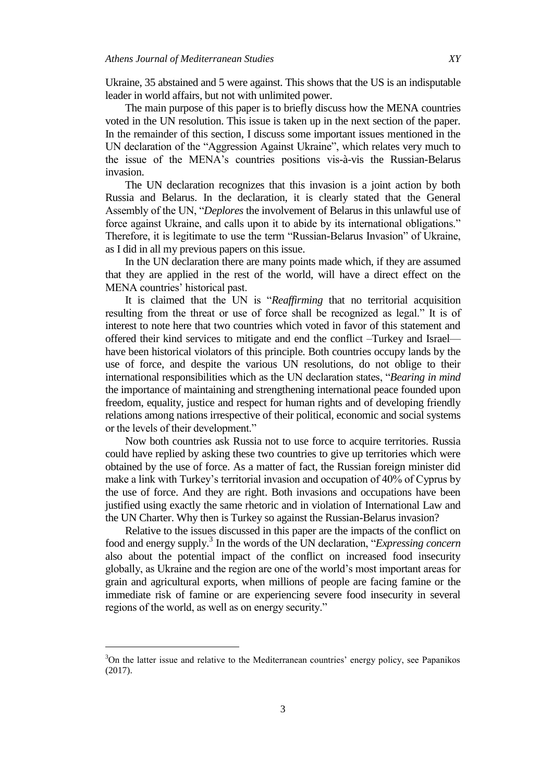Ukraine, 35 abstained and 5 were against. This shows that the US is an indisputable leader in world affairs, but not with unlimited power.

The main purpose of this paper is to briefly discuss how the MENA countries voted in the UN resolution. This issue is taken up in the next section of the paper. In the remainder of this section, I discuss some important issues mentioned in the UN declaration of the "Aggression Against Ukraine", which relates very much to the issue of the MENA's countries positions vis-à-vis the Russian-Belarus invasion.

The UN declaration recognizes that this invasion is a joint action by both Russia and Belarus. In the declaration, it is clearly stated that the General Assembly of the UN, "*Deplores* the involvement of Belarus in this unlawful use of force against Ukraine, and calls upon it to abide by its international obligations." Therefore, it is legitimate to use the term "Russian-Belarus Invasion" of Ukraine, as I did in all my previous papers on this issue.

In the UN declaration there are many points made which, if they are assumed that they are applied in the rest of the world, will have a direct effect on the MENA countries' historical past.

It is claimed that the UN is "Reaffirming that no territorial acquisition resulting from the threat or use of force shall be recognized as legal." It is of interest to note here that two countries which voted in favor of this statement and offered their kind services to mitigate and end the conflict –Turkey and Israel have been historical violators of this principle. Both countries occupy lands by the use of force, and despite the various UN resolutions, do not oblige to their international responsibilities which as the UN declaration states, "*Bearing in mind* the importance of maintaining and strengthening international peace founded upon freedom, equality, justice and respect for human rights and of developing friendly relations among nations irrespective of their political, economic and social systems or the levels of their development."

Now both countries ask Russia not to use force to acquire territories. Russia could have replied by asking these two countries to give up territories which were obtained by the use of force. As a matter of fact, the Russian foreign minister did make a link with Turkey's territorial invasion and occupation of 40% of Cyprus by the use of force. And they are right. Both invasions and occupations have been justified using exactly the same rhetoric and in violation of International Law and the UN Charter. Why then is Turkey so against the Russian-Belarus invasion?

Relative to the issues discussed in this paper are the impacts of the conflict on food and energy supply.<sup>3</sup> In the words of the UN declaration, "Expressing concern also about the potential impact of the conflict on increased food insecurity globally, as Ukraine and the region are one of the world's most important areas for grain and agricultural exports, when millions of people are facing famine or the immediate risk of famine or are experiencing severe food insecurity in several regions of the world, as well as on energy security."

 $\overline{a}$ 

<sup>&</sup>lt;sup>3</sup>On the latter issue and relative to the Mediterranean countries' energy policy, see Papanikos (2017).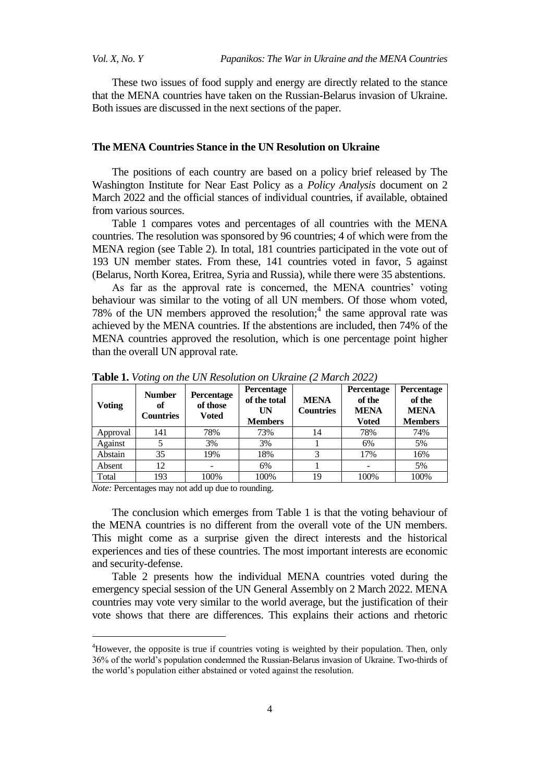These two issues of food supply and energy are directly related to the stance that the MENA countries have taken on the Russian-Belarus invasion of Ukraine. Both issues are discussed in the next sections of the paper.

### **The MENA Countries Stance in the UN Resolution on Ukraine**

The positions of each country are based on a policy brief released by The Washington Institute for Near East Policy as a *Policy Analysis* document on 2 March 2022 and the official stances of individual countries, if available, obtained from various sources.

Table 1 compares votes and percentages of all countries with the MENA countries. The resolution was sponsored by 96 countries; 4 of which were from the MENA region (see Table 2). In total, 181 countries participated in the vote out of 193 UN member states. From these, 141 countries voted in favor, 5 against (Belarus, North Korea, Eritrea, Syria and Russia), while there were 35 abstentions.

As far as the approval rate is concerned, the MENA countries' voting behaviour was similar to the voting of all UN members. Of those whom voted, 78% of the UN members approved the resolution; $<sup>4</sup>$  the same approval rate was</sup> achieved by the MENA countries. If the abstentions are included, then 74% of the MENA countries approved the resolution, which is one percentage point higher than the overall UN approval rate.

| <b>Voting</b> | <b>Number</b><br>of<br><b>Countries</b> | Percentage<br>of those<br><b>Voted</b> | <b>Percentage</b><br>of the total<br>UN<br><b>Members</b> | <b>MENA</b><br><b>Countries</b> | Percentage<br>of the<br><b>MENA</b><br>Voted | Percentage<br>of the<br><b>MENA</b><br><b>Members</b> |
|---------------|-----------------------------------------|----------------------------------------|-----------------------------------------------------------|---------------------------------|----------------------------------------------|-------------------------------------------------------|
| Approval      | 141                                     | 78%                                    | 73%                                                       | 14                              | 78%                                          | 74%                                                   |
| Against       | 5                                       | 3%                                     | 3%                                                        |                                 | 6%                                           | 5%                                                    |
| Abstain       | 35                                      | 19%                                    | 18%                                                       | 3                               | 17%                                          | 16%                                                   |
| Absent        | 12                                      |                                        | 6%                                                        |                                 |                                              | 5%                                                    |
| Total         | 193                                     | 100%                                   | 100%                                                      | 19                              | 100%                                         | 100%                                                  |

**Table 1.** *Voting on the UN Resolution on Ukraine (2 March 2022)*

*Note:* Percentages may not add up due to rounding.

 $\overline{a}$ 

The conclusion which emerges from Table 1 is that the voting behaviour of the MENA countries is no different from the overall vote of the UN members. This might come as a surprise given the direct interests and the historical experiences and ties of these countries. The most important interests are economic and security-defense.

Table 2 presents how the individual MENA countries voted during the emergency special session of the UN General Assembly on 2 March 2022. MENA countries may vote very similar to the world average, but the justification of their vote shows that there are differences. This explains their actions and rhetoric

<sup>&</sup>lt;sup>4</sup>However, the opposite is true if countries voting is weighted by their population. Then, only 36% of the world's population condemned the Russian-Belarus invasion of Ukraine. Two-thirds of the world's population either abstained or voted against the resolution.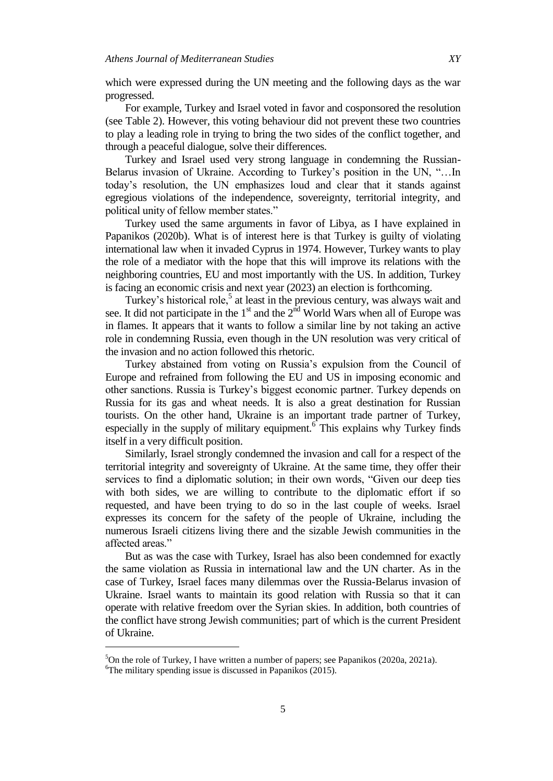which were expressed during the UN meeting and the following days as the war progressed.

For example, Turkey and Israel voted in favor and cosponsored the resolution (see Table 2). However, this voting behaviour did not prevent these two countries to play a leading role in trying to bring the two sides of the conflict together, and through a peaceful dialogue, solve their differences.

Turkey and Israel used very strong language in condemning the Russian-Belarus invasion of Ukraine. According to Turkey's position in the UN, "...In today's resolution, the UN emphasizes loud and clear that it stands against egregious violations of the independence, sovereignty, territorial integrity, and political unity of fellow member states."

Turkey used the same arguments in favor of Libya, as I have explained in Papanikos (2020b). What is of interest here is that Turkey is guilty of violating international law when it invaded Cyprus in 1974. However, Turkey wants to play the role of a mediator with the hope that this will improve its relations with the neighboring countries, EU and most importantly with the US. In addition, Turkey is facing an economic crisis and next year (2023) an election is forthcoming.

Turkey's historical role,<sup>5</sup> at least in the previous century, was always wait and see. It did not participate in the  $1<sup>st</sup>$  and the  $2<sup>nd</sup>$  World Wars when all of Europe was in flames. It appears that it wants to follow a similar line by not taking an active role in condemning Russia, even though in the UN resolution was very critical of the invasion and no action followed this rhetoric.

Turkey abstained from voting on Russia's expulsion from the Council of Europe and refrained from following the EU and US in imposing economic and other sanctions. Russia is Turkey's biggest economic partner. Turkey depends on Russia for its gas and wheat needs. It is also a great destination for Russian tourists. On the other hand, Ukraine is an important trade partner of Turkey, especially in the supply of military equipment.<sup>6</sup> This explains why Turkey finds itself in a very difficult position.

Similarly, Israel strongly condemned the invasion and call for a respect of the territorial integrity and sovereignty of Ukraine. At the same time, they offer their services to find a diplomatic solution; in their own words, "Given our deep ties with both sides, we are willing to contribute to the diplomatic effort if so requested, and have been trying to do so in the last couple of weeks. Israel expresses its concern for the safety of the people of Ukraine, including the numerous Israeli citizens living there and the sizable Jewish communities in the affected areas."

But as was the case with Turkey, Israel has also been condemned for exactly the same violation as Russia in international law and the UN charter. As in the case of Turkey, Israel faces many dilemmas over the Russia-Belarus invasion of Ukraine. Israel wants to maintain its good relation with Russia so that it can operate with relative freedom over the Syrian skies. In addition, both countries of the conflict have strong Jewish communities; part of which is the current President of Ukraine.

 $\overline{a}$ 

<sup>5</sup>On the role of Turkey, I have written a number of papers; see Papanikos (2020a, 2021a).

 ${}^{6}$ The military spending issue is discussed in Papanikos (2015).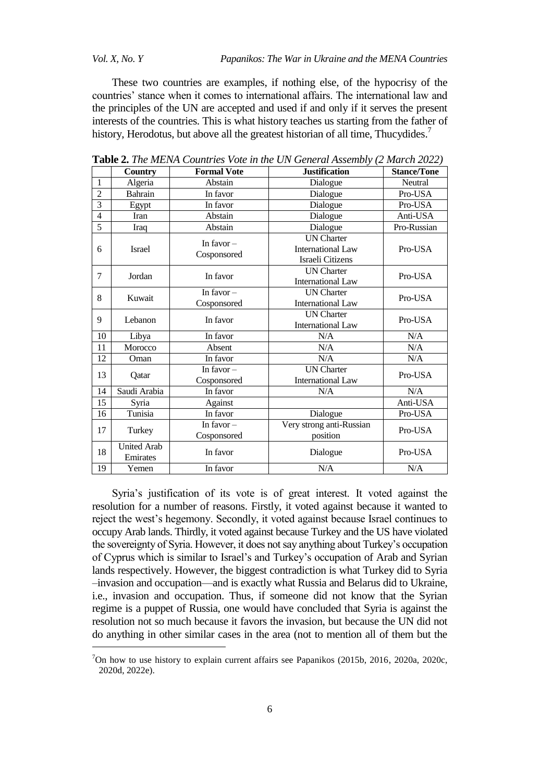$\overline{a}$ 

These two countries are examples, if nothing else, of the hypocrisy of the countries' stance when it comes to international affairs. The international law and the principles of the UN are accepted and used if and only if it serves the present interests of the countries. This is what history teaches us starting from the father of history, Herodotus, but above all the greatest historian of all time, Thucydides.<sup>7</sup>

|                | Country                        | <b>Formal Vote</b>          | <b>Justification</b>                                              | <b>Stance/Tone</b> |
|----------------|--------------------------------|-----------------------------|-------------------------------------------------------------------|--------------------|
| $\mathbf{1}$   | Algeria                        | Abstain                     | Dialogue                                                          | Neutral            |
| $\overline{2}$ | Bahrain                        | In favor                    | Dialogue                                                          | Pro-USA            |
| $\overline{3}$ | Egypt                          | In favor<br>Dialogue        |                                                                   | Pro-USA            |
| $\overline{4}$ | Iran                           | Abstain                     | Dialogue                                                          | Anti-USA           |
| $\overline{5}$ | Iraq                           | Abstain                     | Dialogue                                                          | Pro-Russian        |
| 6              | <b>Israel</b>                  | In favor $-$<br>Cosponsored | <b>UN</b> Charter<br><b>International Law</b><br>Israeli Citizens | Pro-USA            |
| $\overline{7}$ | Jordan                         | In favor                    | <b>UN</b> Charter<br><b>International Law</b>                     | Pro-USA            |
| 8              | Kuwait                         | In favor $-$<br>Cosponsored | <b>UN Charter</b><br><b>International Law</b>                     | Pro-USA            |
| 9              | Lebanon                        | In favor                    | <b>UN Charter</b><br><b>International Law</b>                     | Pro-USA            |
| 10             | Libya                          | In favor                    | N/A                                                               | N/A                |
| 11             | Morocco                        | Absent                      | N/A                                                               | N/A                |
| 12             | Oman                           | In favor                    | N/A                                                               | N/A                |
| 13             | Qatar                          | In favor $-$<br>Cosponsored | <b>UN</b> Charter<br><b>International Law</b>                     | Pro-USA            |
| 14             | Saudi Arabia                   | In favor                    | N/A                                                               | N/A                |
| 15             | Syria                          | Against                     |                                                                   | Anti-USA           |
| 16             | Tunisia                        | In favor                    | Dialogue                                                          | Pro-USA            |
| 17             | Turkey                         | In favor $-$<br>Cosponsored | Very strong anti-Russian<br>position                              | Pro-USA            |
| 18             | <b>United Arab</b><br>Emirates | In favor                    | Dialogue                                                          | Pro-USA            |
| 19             | Yemen                          | In favor                    | N/A                                                               | N/A                |

**Table 2.** *The MENA Countries Vote in the UN General Assembly (2 March 2022)*

Syria's justification of its vote is of great interest. It voted against the resolution for a number of reasons. Firstly, it voted against because it wanted to reject the west's hegemony. Secondly, it voted against because Israel continues to occupy Arab lands. Thirdly, it voted against because Turkey and the US have violated the sovereignty of Syria. However, it does not say anything about Turkey's occupation of Cyprus which is similar to Israel's and Turkey's occupation of Arab and Syrian lands respectively. However, the biggest contradiction is what Turkey did to Syria –invasion and occupation—and is exactly what Russia and Belarus did to Ukraine, i.e., invasion and occupation. Thus, if someone did not know that the Syrian regime is a puppet of Russia, one would have concluded that Syria is against the resolution not so much because it favors the invasion, but because the UN did not do anything in other similar cases in the area (not to mention all of them but the

<sup>7</sup>On how to use history to explain current affairs see Papanikos (2015b, 2016, 2020a, 2020c, 2020d, 2022e).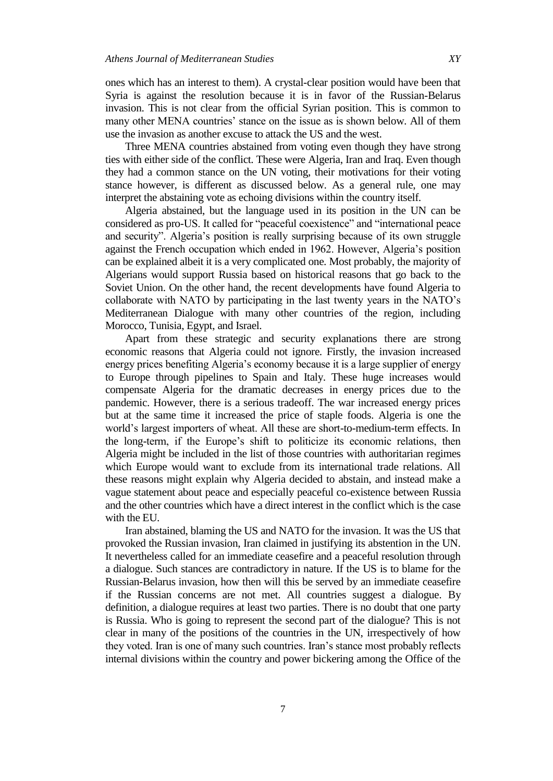ones which has an interest to them). A crystal-clear position would have been that Syria is against the resolution because it is in favor of the Russian-Belarus invasion. This is not clear from the official Syrian position. This is common to many other MENA countries' stance on the issue as is shown below. All of them use the invasion as another excuse to attack the US and the west.

Three MENA countries abstained from voting even though they have strong ties with either side of the conflict. These were Algeria, Iran and Iraq. Even though they had a common stance on the UN voting, their motivations for their voting stance however, is different as discussed below. As a general rule, one may interpret the abstaining vote as echoing divisions within the country itself.

Algeria abstained, but the language used in its position in the UN can be considered as pro-US. It called for "peaceful coexistence" and "international peace and security". Algeria's position is really surprising because of its own struggle against the French occupation which ended in 1962. However, Algeria's position can be explained albeit it is a very complicated one. Most probably, the majority of Algerians would support Russia based on historical reasons that go back to the Soviet Union. On the other hand, the recent developments have found Algeria to collaborate with NATO by participating in the last twenty years in the NATO's Mediterranean Dialogue with many other countries of the region, including Morocco, Tunisia, Egypt, and Israel.

Apart from these strategic and security explanations there are strong economic reasons that Algeria could not ignore. Firstly, the invasion increased energy prices benefiting Algeria's economy because it is a large supplier of energy to Europe through pipelines to Spain and Italy. These huge increases would compensate Algeria for the dramatic decreases in energy prices due to the pandemic. However, there is a serious tradeoff. The war increased energy prices but at the same time it increased the price of staple foods. Algeria is one the world's largest importers of wheat. All these are short-to-medium-term effects. In the long-term, if the Europe's shift to politicize its economic relations, then Algeria might be included in the list of those countries with authoritarian regimes which Europe would want to exclude from its international trade relations. All these reasons might explain why Algeria decided to abstain, and instead make a vague statement about peace and especially peaceful co-existence between Russia and the other countries which have a direct interest in the conflict which is the case with the EU.

Iran abstained, blaming the US and NATO for the invasion. It was the US that provoked the Russian invasion, Iran claimed in justifying its abstention in the UN. It nevertheless called for an immediate ceasefire and a peaceful resolution through a dialogue. Such stances are contradictory in nature. If the US is to blame for the Russian-Belarus invasion, how then will this be served by an immediate ceasefire if the Russian concerns are not met. All countries suggest a dialogue. By definition, a dialogue requires at least two parties. There is no doubt that one party is Russia. Who is going to represent the second part of the dialogue? This is not clear in many of the positions of the countries in the UN, irrespectively of how they voted. Iran is one of many such countries. Iran's stance most probably reflects internal divisions within the country and power bickering among the Office of the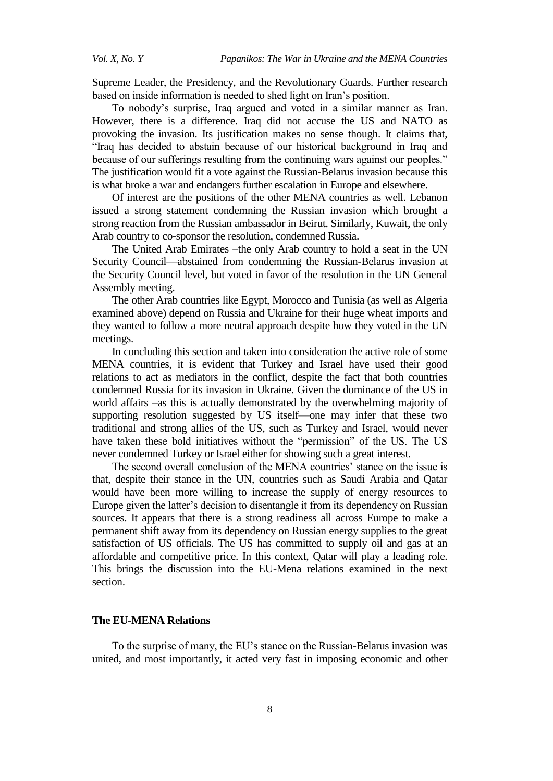Supreme Leader, the Presidency, and the Revolutionary Guards. Further research based on inside information is needed to shed light on Iran's position.

To nobody's surprise, Iraq argued and voted in a similar manner as Iran. However, there is a difference. Iraq did not accuse the US and NATO as provoking the invasion. Its justification makes no sense though. It claims that, "Iraq has decided to abstain because of our historical background in Iraq and because of our sufferings resulting from the continuing wars against our peoples." The justification would fit a vote against the Russian-Belarus invasion because this is what broke a war and endangers further escalation in Europe and elsewhere.

Of interest are the positions of the other MENA countries as well. Lebanon issued a strong statement condemning the Russian invasion which brought a strong reaction from the Russian ambassador in Beirut. Similarly, Kuwait, the only Arab country to co-sponsor the resolution, condemned Russia.

The United Arab Emirates –the only Arab country to hold a seat in the UN Security Council—abstained from condemning the Russian-Belarus invasion at the Security Council level, but voted in favor of the resolution in the UN General Assembly meeting.

The other Arab countries like Egypt, Morocco and Tunisia (as well as Algeria examined above) depend on Russia and Ukraine for their huge wheat imports and they wanted to follow a more neutral approach despite how they voted in the UN meetings.

In concluding this section and taken into consideration the active role of some MENA countries, it is evident that Turkey and Israel have used their good relations to act as mediators in the conflict, despite the fact that both countries condemned Russia for its invasion in Ukraine. Given the dominance of the US in world affairs –as this is actually demonstrated by the overwhelming majority of supporting resolution suggested by US itself—one may infer that these two traditional and strong allies of the US, such as Turkey and Israel, would never have taken these bold initiatives without the "permission" of the US. The US never condemned Turkey or Israel either for showing such a great interest.

The second overall conclusion of the MENA countries' stance on the issue is that, despite their stance in the UN, countries such as Saudi Arabia and Qatar would have been more willing to increase the supply of energy resources to Europe given the latter's decision to disentangle it from its dependency on Russian sources. It appears that there is a strong readiness all across Europe to make a permanent shift away from its dependency on Russian energy supplies to the great satisfaction of US officials. The US has committed to supply oil and gas at an affordable and competitive price. In this context, Qatar will play a leading role. This brings the discussion into the EU-Mena relations examined in the next section.

### **The EU-MENA Relations**

To the surprise of many, the EU's stance on the Russian-Belarus invasion was united, and most importantly, it acted very fast in imposing economic and other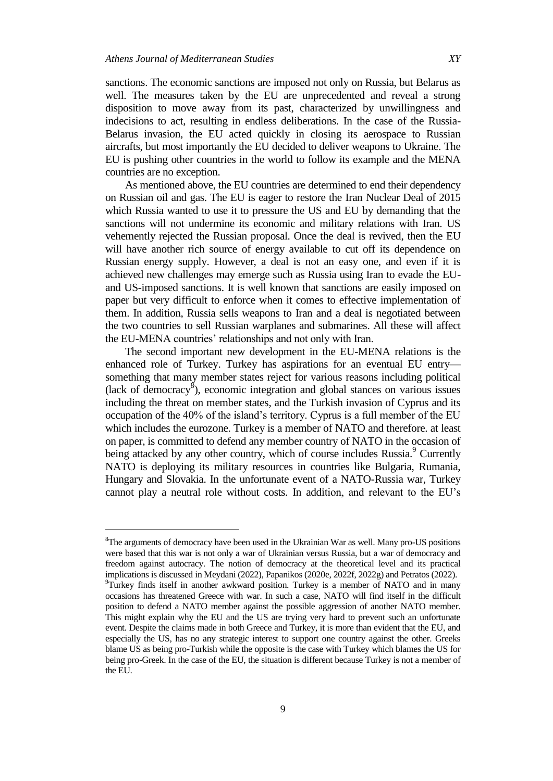$\overline{a}$ 

sanctions. The economic sanctions are imposed not only on Russia, but Belarus as well. The measures taken by the EU are unprecedented and reveal a strong disposition to move away from its past, characterized by unwillingness and indecisions to act, resulting in endless deliberations. In the case of the Russia-Belarus invasion, the EU acted quickly in closing its aerospace to Russian aircrafts, but most importantly the EU decided to deliver weapons to Ukraine. The EU is pushing other countries in the world to follow its example and the MENA countries are no exception.

As mentioned above, the EU countries are determined to end their dependency on Russian oil and gas. The EU is eager to restore the Iran Nuclear Deal of 2015 which Russia wanted to use it to pressure the US and EU by demanding that the sanctions will not undermine its economic and military relations with Iran. US vehemently rejected the Russian proposal. Once the deal is revived, then the EU will have another rich source of energy available to cut off its dependence on Russian energy supply. However, a deal is not an easy one, and even if it is achieved new challenges may emerge such as Russia using Iran to evade the EUand US-imposed sanctions. It is well known that sanctions are easily imposed on paper but very difficult to enforce when it comes to effective implementation of them. In addition, Russia sells weapons to Iran and a deal is negotiated between the two countries to sell Russian warplanes and submarines. All these will affect the EU-MENA countries' relationships and not only with Iran.

The second important new development in the EU-MENA relations is the enhanced role of Turkey. Turkey has aspirations for an eventual EU entry something that many member states reject for various reasons including political (lack of democracy<sup>8</sup>), economic integration and global stances on various issues including the threat on member states, and the Turkish invasion of Cyprus and its occupation of the 40% of the island's territory. Cyprus is a full member of the EU which includes the eurozone. Turkey is a member of NATO and therefore. at least on paper, is committed to defend any member country of NATO in the occasion of being attacked by any other country, which of course includes Russia.<sup>9</sup> Currently NATO is deploying its military resources in countries like Bulgaria, Rumania, Hungary and Slovakia. In the unfortunate event of a NATO-Russia war, Turkey cannot play a neutral role without costs. In addition, and relevant to the EU's

<sup>&</sup>lt;sup>8</sup>The arguments of democracy have been used in the Ukrainian War as well. Many pro-US positions were based that this war is not only a war of Ukrainian versus Russia, but a war of democracy and freedom against autocracy. The notion of democracy at the theoretical level and its practical implications is discussed in Meydani (2022), Papanikos (2020e, 2022f, 2022g) and Petratos (2022). <sup>9</sup>Turkey finds itself in another awkward position. Turkey is a member of NATO and in many occasions has threatened Greece with war. In such a case, NATO will find itself in the difficult position to defend a NATO member against the possible aggression of another NATO member. This might explain why the EU and the US are trying very hard to prevent such an unfortunate event. Despite the claims made in both Greece and Turkey, it is more than evident that the EU, and especially the US, has no any strategic interest to support one country against the other. Greeks blame US as being pro-Turkish while the opposite is the case with Turkey which blames the US for being pro-Greek. In the case of the EU, the situation is different because Turkey is not a member of the EU.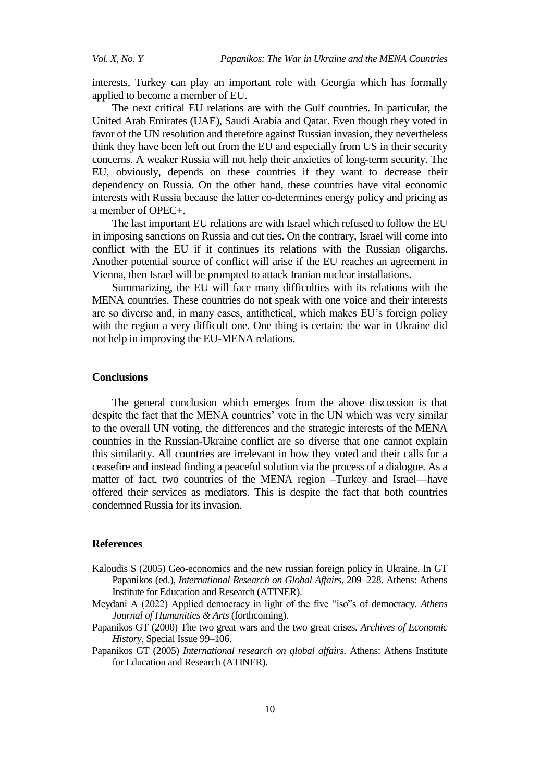interests, Turkey can play an important role with Georgia which has formally applied to become a member of EU.

The next critical EU relations are with the Gulf countries. In particular, the United Arab Emirates (UAE), Saudi Arabia and Qatar. Even though they voted in favor of the UN resolution and therefore against Russian invasion, they nevertheless think they have been left out from the EU and especially from US in their security concerns. A weaker Russia will not help their anxieties of long-term security. The EU, obviously, depends on these countries if they want to decrease their dependency on Russia. On the other hand, these countries have vital economic interests with Russia because the latter co-determines energy policy and pricing as a member of OPEC+.

The last important EU relations are with Israel which refused to follow the EU in imposing sanctions on Russia and cut ties. On the contrary, Israel will come into conflict with the EU if it continues its relations with the Russian oligarchs. Another potential source of conflict will arise if the EU reaches an agreement in Vienna, then Israel will be prompted to attack Iranian nuclear installations.

Summarizing, the EU will face many difficulties with its relations with the MENA countries. These countries do not speak with one voice and their interests are so diverse and, in many cases, antithetical, which makes EU's foreign policy with the region a very difficult one. One thing is certain: the war in Ukraine did not help in improving the EU-MENA relations.

#### **Conclusions**

The general conclusion which emerges from the above discussion is that despite the fact that the MENA countries' vote in the UN which was very similar to the overall UN voting, the differences and the strategic interests of the MENA countries in the Russian-Ukraine conflict are so diverse that one cannot explain this similarity. All countries are irrelevant in how they voted and their calls for a ceasefire and instead finding a peaceful solution via the process of a dialogue. As a matter of fact, two countries of the MENA region –Turkey and Israel—have offered their services as mediators. This is despite the fact that both countries condemned Russia for its invasion.

#### **References**

- Kaloudis S (2005) Geo-economics and the new russian foreign policy in Ukraine. In GT Papanikos (ed.), *International Research on Global Affairs,* 209–228. Athens: Athens Institute for Education and Research (ATINER).
- Meydani A (2022) Applied democracy in light of the five "iso"s of democracy. *Athens Journal of Humanities & Arts* (forthcoming).
- Papanikos GT (2000) The two great wars and the two great crises. *Archives of Economic History*, Special Issue 99–106.
- Papanikos GT (2005) *International research on global affairs.* Athens: Athens Institute for Education and Research (ATINER).